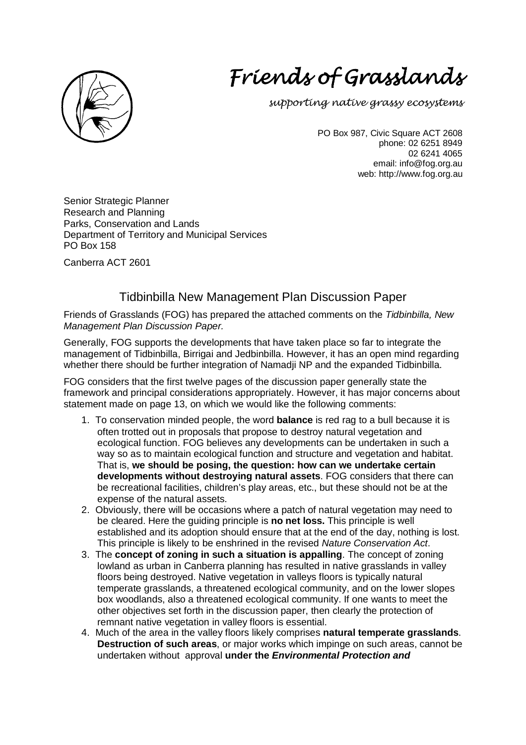

# Friends of Grasslands

supporting native grassy ecosystems

PO Box 987, Civic Square ACT 2608 phone: 02 6251 8949 02 6241 4065 email: info@fog.org.au web: http://www.fog.org.au

Senior Strategic Planner Research and Planning Parks, Conservation and Lands Department of Territory and Municipal Services PO Box 158

Canberra ACT 2601

# Tidbinbilla New Management Plan Discussion Paper

Friends of Grasslands (FOG) has prepared the attached comments on the Tidbinbilla, New Management Plan Discussion Paper.

Generally, FOG supports the developments that have taken place so far to integrate the management of Tidbinbilla, Birrigai and Jedbinbilla. However, it has an open mind regarding whether there should be further integration of Namadji NP and the expanded Tidbinbilla.

FOG considers that the first twelve pages of the discussion paper generally state the framework and principal considerations appropriately. However, it has major concerns about statement made on page 13, on which we would like the following comments:

- 1. To conservation minded people, the word **balance** is red rag to a bull because it is often trotted out in proposals that propose to destroy natural vegetation and ecological function. FOG believes any developments can be undertaken in such a way so as to maintain ecological function and structure and vegetation and habitat. That is, **we should be posing, the question: how can we undertake certain developments without destroying natural assets**. FOG considers that there can be recreational facilities, children's play areas, etc., but these should not be at the expense of the natural assets.
- 2. Obviously, there will be occasions where a patch of natural vegetation may need to be cleared. Here the guiding principle is **no net loss.** This principle is well established and its adoption should ensure that at the end of the day, nothing is lost. This principle is likely to be enshrined in the revised Nature Conservation Act.
- 3. The **concept of zoning in such a situation is appalling**. The concept of zoning lowland as urban in Canberra planning has resulted in native grasslands in valley floors being destroyed. Native vegetation in valleys floors is typically natural temperate grasslands, a threatened ecological community, and on the lower slopes box woodlands, also a threatened ecological community. If one wants to meet the other objectives set forth in the discussion paper, then clearly the protection of remnant native vegetation in valley floors is essential.
- 4. Much of the area in the valley floors likely comprises **natural temperate grasslands**. **Destruction of such areas**, or major works which impinge on such areas, cannot be undertaken without approval **under the Environmental Protection and**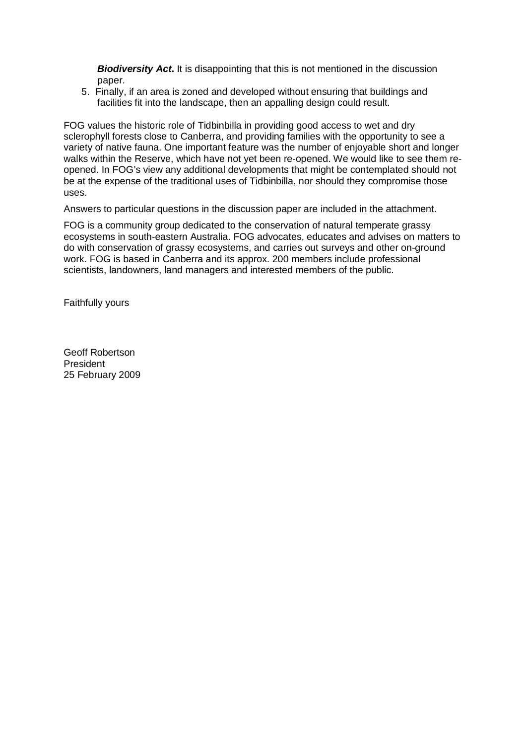**Biodiversity Act.** It is disappointing that this is not mentioned in the discussion paper.

5. Finally, if an area is zoned and developed without ensuring that buildings and facilities fit into the landscape, then an appalling design could result.

FOG values the historic role of Tidbinbilla in providing good access to wet and dry sclerophyll forests close to Canberra, and providing families with the opportunity to see a variety of native fauna. One important feature was the number of enjoyable short and longer walks within the Reserve, which have not yet been re-opened. We would like to see them reopened. In FOG's view any additional developments that might be contemplated should not be at the expense of the traditional uses of Tidbinbilla, nor should they compromise those uses.

Answers to particular questions in the discussion paper are included in the attachment.

FOG is a community group dedicated to the conservation of natural temperate grassy ecosystems in south-eastern Australia. FOG advocates, educates and advises on matters to do with conservation of grassy ecosystems, and carries out surveys and other on-ground work. FOG is based in Canberra and its approx. 200 members include professional scientists, landowners, land managers and interested members of the public.

Faithfully yours

Geoff Robertson President 25 February 2009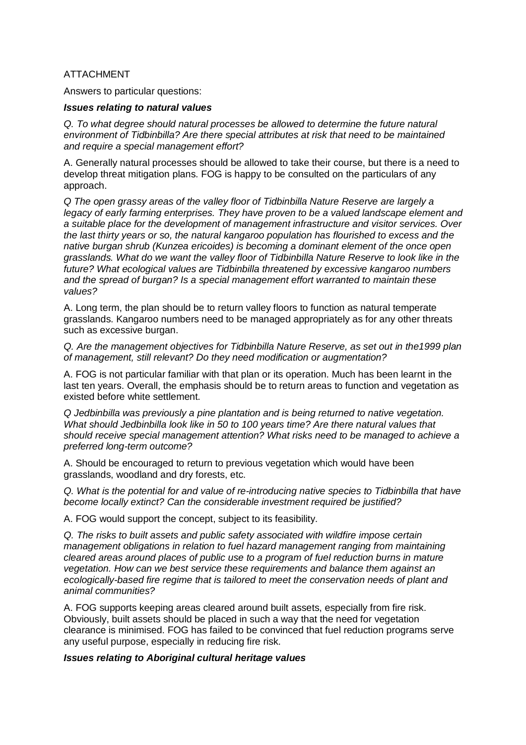# ATTACHMENT

Answers to particular questions:

#### **Issues relating to natural values**

Q. To what degree should natural processes be allowed to determine the future natural environment of Tidbinbilla? Are there special attributes at risk that need to be maintained and require a special management effort?

A. Generally natural processes should be allowed to take their course, but there is a need to develop threat mitigation plans. FOG is happy to be consulted on the particulars of any approach.

Q The open grassy areas of the valley floor of Tidbinbilla Nature Reserve are largely a legacy of early farming enterprises. They have proven to be a valued landscape element and a suitable place for the development of management infrastructure and visitor services. Over the last thirty years or so, the natural kangaroo population has flourished to excess and the native burgan shrub (Kunzea ericoides) is becoming a dominant element of the once open grasslands. What do we want the valley floor of Tidbinbilla Nature Reserve to look like in the future? What ecological values are Tidbinbilla threatened by excessive kangaroo numbers and the spread of burgan? Is a special management effort warranted to maintain these values?

A. Long term, the plan should be to return valley floors to function as natural temperate grasslands. Kangaroo numbers need to be managed appropriately as for any other threats such as excessive burgan.

Q. Are the management objectives for Tidbinbilla Nature Reserve, as set out in the1999 plan of management, still relevant? Do they need modification or augmentation?

A. FOG is not particular familiar with that plan or its operation. Much has been learnt in the last ten years. Overall, the emphasis should be to return areas to function and vegetation as existed before white settlement.

Q Jedbinbilla was previously a pine plantation and is being returned to native vegetation. What should Jedbinbilla look like in 50 to 100 years time? Are there natural values that should receive special management attention? What risks need to be managed to achieve a preferred long-term outcome?

A. Should be encouraged to return to previous vegetation which would have been grasslands, woodland and dry forests, etc.

Q. What is the potential for and value of re-introducing native species to Tidbinbilla that have become locally extinct? Can the considerable investment required be justified?

A. FOG would support the concept, subject to its feasibility.

Q. The risks to built assets and public safety associated with wildfire impose certain management obligations in relation to fuel hazard management ranging from maintaining cleared areas around places of public use to a program of fuel reduction burns in mature vegetation. How can we best service these requirements and balance them against an ecologically-based fire regime that is tailored to meet the conservation needs of plant and animal communities?

A. FOG supports keeping areas cleared around built assets, especially from fire risk. Obviously, built assets should be placed in such a way that the need for vegetation clearance is minimised. FOG has failed to be convinced that fuel reduction programs serve any useful purpose, especially in reducing fire risk.

## **Issues relating to Aboriginal cultural heritage values**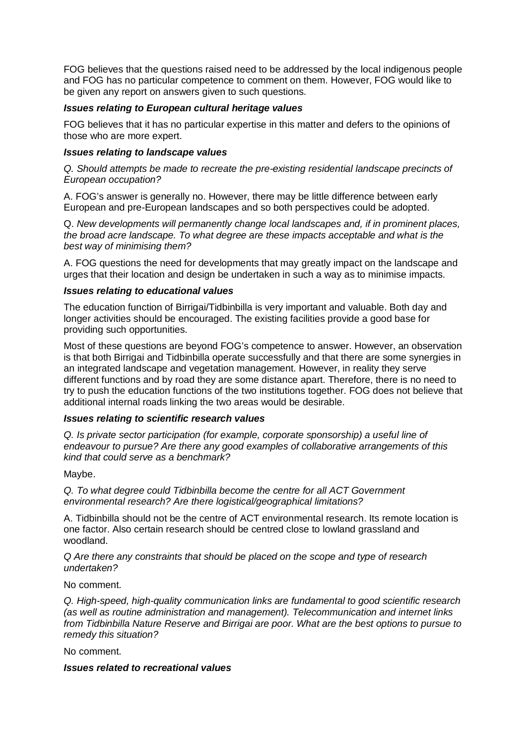FOG believes that the questions raised need to be addressed by the local indigenous people and FOG has no particular competence to comment on them. However, FOG would like to be given any report on answers given to such questions.

#### **Issues relating to European cultural heritage values**

FOG believes that it has no particular expertise in this matter and defers to the opinions of those who are more expert.

#### **Issues relating to landscape values**

Q. Should attempts be made to recreate the pre-existing residential landscape precincts of European occupation?

A. FOG's answer is generally no. However, there may be little difference between early European and pre-European landscapes and so both perspectives could be adopted.

Q. New developments will permanently change local landscapes and, if in prominent places, the broad acre landscape. To what degree are these impacts acceptable and what is the best way of minimising them?

A. FOG questions the need for developments that may greatly impact on the landscape and urges that their location and design be undertaken in such a way as to minimise impacts.

#### **Issues relating to educational values**

The education function of Birrigai/Tidbinbilla is very important and valuable. Both day and longer activities should be encouraged. The existing facilities provide a good base for providing such opportunities.

Most of these questions are beyond FOG's competence to answer. However, an observation is that both Birrigai and Tidbinbilla operate successfully and that there are some synergies in an integrated landscape and vegetation management. However, in reality they serve different functions and by road they are some distance apart. Therefore, there is no need to try to push the education functions of the two institutions together. FOG does not believe that additional internal roads linking the two areas would be desirable.

## **Issues relating to scientific research values**

Q. Is private sector participation (for example, corporate sponsorship) a useful line of endeavour to pursue? Are there any good examples of collaborative arrangements of this kind that could serve as a benchmark?

Maybe.

Q. To what degree could Tidbinbilla become the centre for all ACT Government environmental research? Are there logistical/geographical limitations?

A. Tidbinbilla should not be the centre of ACT environmental research. Its remote location is one factor. Also certain research should be centred close to lowland grassland and woodland.

Q Are there any constraints that should be placed on the scope and type of research undertaken?

No comment.

Q. High-speed, high-quality communication links are fundamental to good scientific research (as well as routine administration and management). Telecommunication and internet links from Tidbinbilla Nature Reserve and Birrigai are poor. What are the best options to pursue to remedy this situation?

No comment.

#### **Issues related to recreational values**